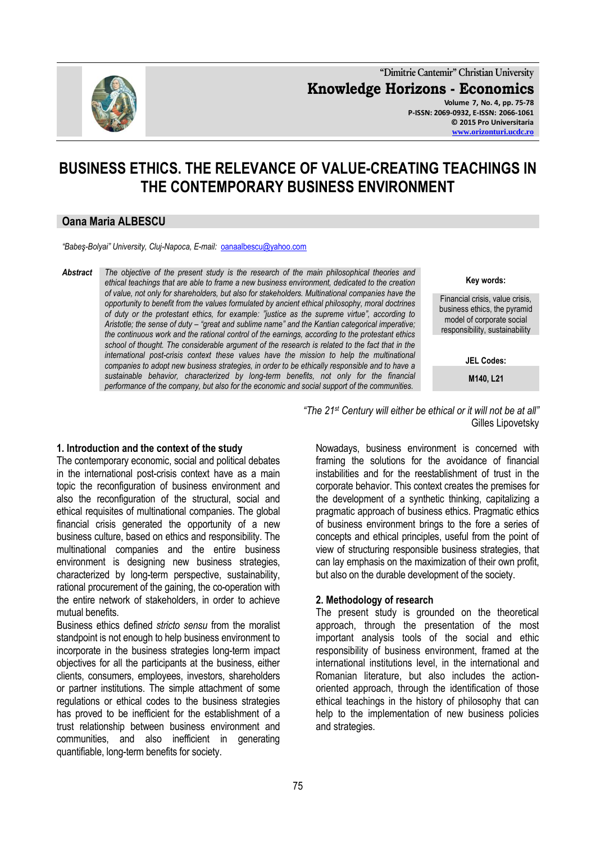

**"Dimitrie Cantemir" Christian University Knowledge Horizons - Economics Volume 7, No. 4, pp. 75-78 P-ISSN: 2069-0932, E-ISSN: 2066-1061 © 2015 Pro Universitaria [www.orizonturi.ucdc.ro](http://www.orizonturi.ucdc.ro/)**

# **BUSINESS ETHICS. THE RELEVANCE OF VALUE-CREATING TEACHINGS IN THE CONTEMPORARY BUSINESS ENVIRONMENT**

## **Oana Maria ALBESCU**

*"Babeş-Bolyai" University, Cluj-Napoca, E-mail:* [oanaalbescu@yahoo.com](mailto:oanaalbescu@yahoo.com)

*Abstract The objective of the present study is the research of the main philosophical theories and ethical teachings that are able to frame a new business environment, dedicated to the creation of value, not only for shareholders, but also for stakeholders. Multinational companies have the opportunity to benefit from the values formulated by ancient ethical philosophy, moral doctrines of duty or the protestant ethics, for example: "justice as the supreme virtue", according to Aristotle; the sense of duty – "great and sublime name" and the Kantian categorical imperative; the continuous work and the rational control of the earnings, according to the protestant ethics school of thought. The considerable argument of the research is related to the fact that in the international post-crisis context these values have the mission to help the multinational companies to adopt new business strategies, in order to be ethically responsible and to have a sustainable behavior, characterized by long-term benefits, not only for the financial performance of the company, but also for the economic and social support of the communities.*

**Key words:** Financial crisis, value crisis, business ethics, the pyramid model of corporate social responsibility, sustainability **JEL Codes:**

**M140, L21**

#### **1. Introduction and the context of the study**

The contemporary economic, social and political debates in the international post-crisis context have as a main topic the reconfiguration of business environment and also the reconfiguration of the structural, social and ethical requisites of multinational companies. The global financial crisis generated the opportunity of a new business culture, based on ethics and responsibility. The multinational companies and the entire business environment is designing new business strategies, characterized by long-term perspective, sustainability, rational procurement of the gaining, the co-operation with the entire network of stakeholders, in order to achieve mutual benefits.

Business ethics defined *stricto sensu* from the moralist standpoint is not enough to help business environment to incorporate in the business strategies long-term impact objectives for all the participants at the business, either clients, consumers, employees, investors, shareholders or partner institutions. The simple attachment of some regulations or ethical codes to the business strategies has proved to be inefficient for the establishment of a trust relationship between business environment and communities, and also inefficient in generating quantifiable, long-term benefits for society.

*"The 21st Century will either be ethical or it will not be at all"* Gilles Lipovetsky

Nowadays, business environment is concerned with framing the solutions for the avoidance of financial instabilities and for the reestablishment of trust in the corporate behavior. This context creates the premises for the development of a synthetic thinking, capitalizing a pragmatic approach of business ethics. Pragmatic ethics of business environment brings to the fore a series of concepts and ethical principles, useful from the point of view of structuring responsible business strategies, that can lay emphasis on the maximization of their own profit, but also on the durable development of the society.

#### **2. Methodology of research**

The present study is grounded on the theoretical approach, through the presentation of the most important analysis tools of the social and ethic responsibility of business environment, framed at the international institutions level, in the international and Romanian literature, but also includes the actionoriented approach, through the identification of those ethical teachings in the history of philosophy that can help to the implementation of new business policies and strategies.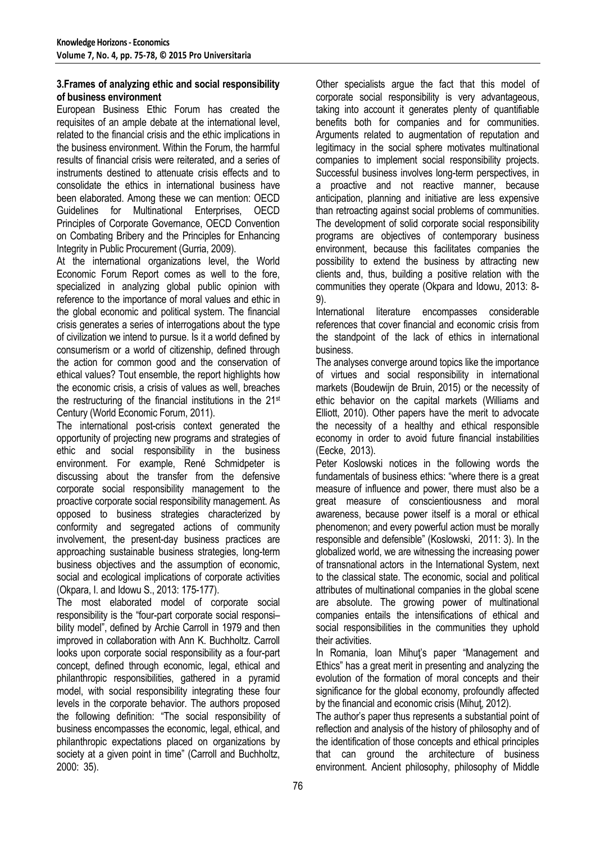## **3.Frames of analyzing ethic and social responsibility of business environment**

European Business Ethic Forum has created the requisites of an ample debate at the international level, related to the financial crisis and the ethic implications in the business environment. Within the Forum, the harmful results of financial crisis were reiterated, and a series of instruments destined to attenuate crisis effects and to consolidate the ethics in international business have been elaborated. Among these we can mention: OECD Guidelines for Multinational Enterprises, OECD Principles of Corporate Governance, OECD Convention on Combating Bribery and the Principles for Enhancing Integrity in Public Procurement (Gurria, 2009).

At the international organizations level, the World Economic Forum Report comes as well to the fore, specialized in analyzing global public opinion with reference to the importance of moral values and ethic in the global economic and political system. The financial crisis generates a series of interrogations about the type of civilization we intend to pursue. Is it a world defined by consumerism or a world of citizenship, defined through the action for common good and the conservation of ethical values? Tout ensemble, the report highlights how the economic crisis, a crisis of values as well, breaches the restructuring of the financial institutions in the 21st Century (World Economic Forum, 2011).

The international post-crisis context generated the opportunity of projecting new programs and strategies of ethic and social responsibility in the business environment. For example, René Schmidpeter is discussing about the transfer from the defensive corporate social responsibility management to the proactive corporate social responsibility management. As opposed to business strategies characterized by conformity and segregated actions of community involvement, the present-day business practices are approaching sustainable business strategies, long-term business objectives and the assumption of economic, social and ecological implications of corporate activities (Okpara, I. and Idowu S., 2013: 175-177).

The most elaborated model of corporate social responsibility is the "four-part corporate social responsi– bility model", defined by Archie Carroll in 1979 and then improved in collaboration with Ann K. Buchholtz. Carroll looks upon corporate social responsibility as a four-part concept, defined through economic, legal, ethical and philanthropic responsibilities, gathered in a pyramid model, with social responsibility integrating these four levels in the corporate behavior. The authors proposed the following definition: "The social responsibility of business encompasses the economic, legal, ethical, and philanthropic expectations placed on organizations by society at a given point in time" (Carroll and Buchholtz, 2000: 35).

Other specialists argue the fact that this model of corporate social responsibility is very advantageous, taking into account it generates plenty of quantifiable benefits both for companies and for communities. Arguments related to augmentation of reputation and legitimacy in the social sphere motivates multinational companies to implement social responsibility projects. Successful business involves long-term perspectives, in a proactive and not reactive manner, because anticipation, planning and initiative are less expensive than retroacting against social problems of communities. The development of solid corporate social responsibility programs are objectives of contemporary business environment, because this facilitates companies the possibility to extend the business by attracting new clients and, thus, building a positive relation with the communities they operate (Okpara and Idowu, 2013: 8- 9).

International literature encompasses considerable references that cover financial and economic crisis from the standpoint of the lack of ethics in international business.

The analyses converge around topics like the importance of virtues and social responsibility in international markets (Boudewijn de Bruin, 2015) or the necessity of ethic behavior on the capital markets (Williams and Elliott, 2010). Other papers have the merit to advocate the necessity of a healthy and ethical responsible economy in order to avoid future financial instabilities (Eecke, 2013).

Peter Koslowski notices in the following words the fundamentals of business ethics: "where there is a great measure of influence and power, there must also be a great measure of conscientiousness and moral awareness, because power itself is a moral or ethical phenomenon; and every powerful action must be morally responsible and defensible" (Koslowski, 2011: 3). In the globalized world, we are witnessing the increasing power of transnational actors in the International System, next to the classical state. The economic, social and political attributes of multinational companies in the global scene are absolute. The growing power of multinational companies entails the intensifications of ethical and social responsibilities in the communities they uphold their activities.

In Romania, Ioan Mihut's paper "Management and Ethics" has a great merit in presenting and analyzing the evolution of the formation of moral concepts and their significance for the global economy, profoundly affected by the financial and economic crisis (Mihuţ, 2012).

The author's paper thus represents a substantial point of reflection and analysis of the history of philosophy and of the identification of those concepts and ethical principles that can ground the architecture of business environment. Ancient philosophy, philosophy of Middle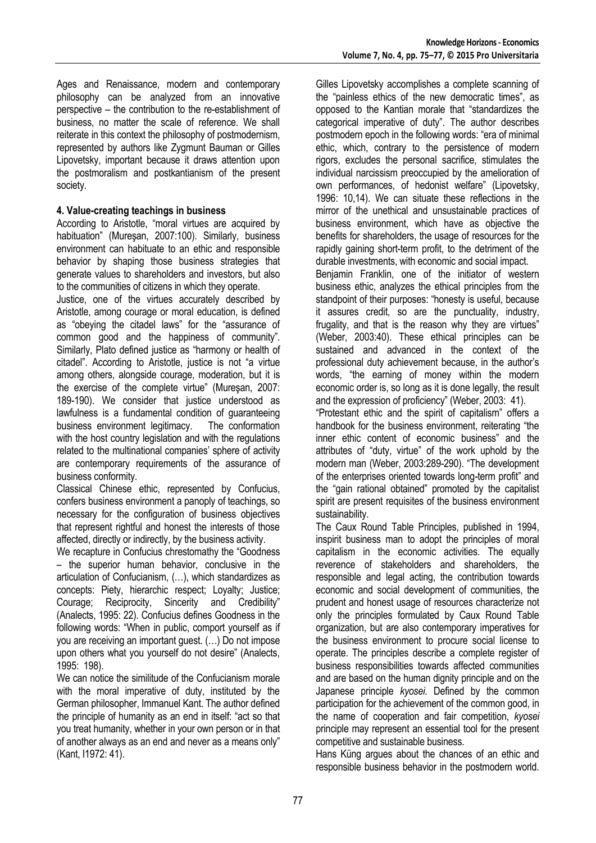Ages and Renaissance, modern and contemporary philosophy can be analyzed from an innovative perspective – the contribution to the re-establishment of business, no matter the scale of reference. We shall reiterate in this context the philosophy of postmodernism, represented by authors like Zygmunt Bauman or Gilles Lipovetsky, important because it draws attention upon the postmoralism and postkantianism of the present society.

# **4. Value-creating teachings in business**

According to Aristotle, "moral virtues are acquired by habituation" (Mureşan, 2007:100). Similarly, business environment can habituate to an ethic and responsible behavior by shaping those business strategies that generate values to shareholders and investors, but also to the communities of citizens in which they operate.

Justice, one of the virtues accurately described by Aristotle, among courage or moral education, is defined as "obeying the citadel laws" for the "assurance of common good and the happiness of community". Similarly, Plato defined justice as "harmony or health of citadel". According to Aristotle, justice is not "a virtue among others, alongside courage, moderation, but it is the exercise of the complete virtue" (Mureşan, 2007: 189-190). We consider that justice understood as lawfulness is a fundamental condition of guaranteeing business environment legitimacy. The conformation with the host country legislation and with the regulations related to the multinational companies' sphere of activity are contemporary requirements of the assurance of business conformity.

Classical Chinese ethic, represented by Confucius, confers business environment a panoply of teachings, so necessary for the configuration of business objectives that represent rightful and honest the interests of those affected, directly or indirectly, by the business activity.

We recapture in Confucius chrestomathy the "Goodness – the superior human behavior, conclusive in the articulation of Confucianism, (…), which standardizes as concepts: Piety, hierarchic respect; Loyalty; Justice; Courage; Reciprocity, Sincerity and Credibility" (Analects, 1995: 22). Confucius defines Goodness in the following words: "When in public, comport yourself as if you are receiving an important guest. (…) Do not impose upon others what you yourself do not desire" (Analects, 1995: 198).

We can notice the similitude of the Confucianism morale with the moral imperative of duty, instituted by the German philosopher, Immanuel Kant. The author defined the principle of humanity as an end in itself: "act so that you treat humanity, whether in your own person or in that of another always as an end and never as a means only" (Kant, I1972: 41).

Gilles Lipovetsky accomplishes a complete scanning of the "painless ethics of the new democratic times", as opposed to the Kantian morale that "standardizes the categorical imperative of duty". The author describes postmodern epoch in the following words: "era of minimal ethic, which, contrary to the persistence of modern rigors, excludes the personal sacrifice, stimulates the individual narcissism preoccupied by the amelioration of own performances, of hedonist welfare" (Lipovetsky, 1996: 10,14). We can situate these reflections in the mirror of the unethical and unsustainable practices of business environment, which have as objective the benefits for shareholders, the usage of resources for the rapidly gaining short-term profit, to the detriment of the durable investments, with economic and social impact.

Benjamin Franklin, one of the initiator of western business ethic, analyzes the ethical principles from the standpoint of their purposes: "honesty is useful, because it assures credit, so are the punctuality, industry, frugality, and that is the reason why they are virtues" (Weber, 2003:40). These ethical principles can be sustained and advanced in the context of the professional duty achievement because, in the author's words, "the earning of money within the modern economic order is, so long as it is done legally, the result and the expression of proficiency" (Weber, 2003: 41).

"Protestant ethic and the spirit of capitalism" offers a handbook for the business environment, reiterating "the inner ethic content of economic business" and the attributes of "duty, virtue" of the work uphold by the modern man (Weber, 2003:289-290). "The development of the enterprises oriented towards long-term profit" and the "gain rational obtained" promoted by the capitalist spirit are present requisites of the business environment sustainability.

The Caux Round Table Principles, published in 1994, inspirit business man to adopt the principles of moral capitalism in the economic activities. The equally reverence of stakeholders and shareholders, the responsible and legal acting, the contribution towards economic and social development of communities, the prudent and honest usage of resources characterize not only the principles formulated by Caux Round Table organization, but are also contemporary imperatives for the business environment to procure social license to operate. The principles describe a complete register of business responsibilities towards affected communities and are based on the human dignity principle and on the Japanese principle *kyosei.* Defined by the common participation for the achievement of the common good, in the name of cooperation and fair competition, *kyosei* principle may represent an essential tool for the present competitive and sustainable business.

Hans Küng argues about the chances of an ethic and responsible business behavior in the postmodern world.